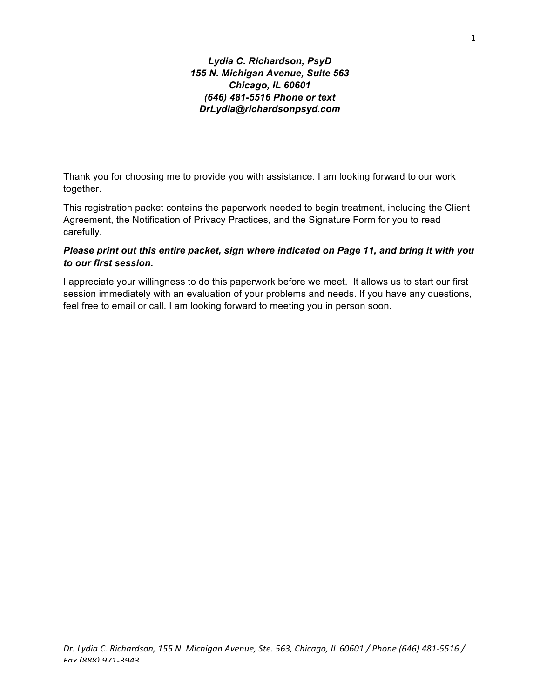*Lydia C. Richardson, PsyD 155 N. Michigan Avenue, Suite 563 Chicago, IL 60601 (646) 481-5516 Phone or text DrLydia@richardsonpsyd.com*

Thank you for choosing me to provide you with assistance. I am looking forward to our work together.

This registration packet contains the paperwork needed to begin treatment, including the Client Agreement, the Notification of Privacy Practices, and the Signature Form for you to read carefully.

# *Please print out this entire packet, sign where indicated on Page 11, and bring it with you to our first session.*

I appreciate your willingness to do this paperwork before we meet. It allows us to start our first session immediately with an evaluation of your problems and needs. If you have any questions, feel free to email or call. I am looking forward to meeting you in person soon.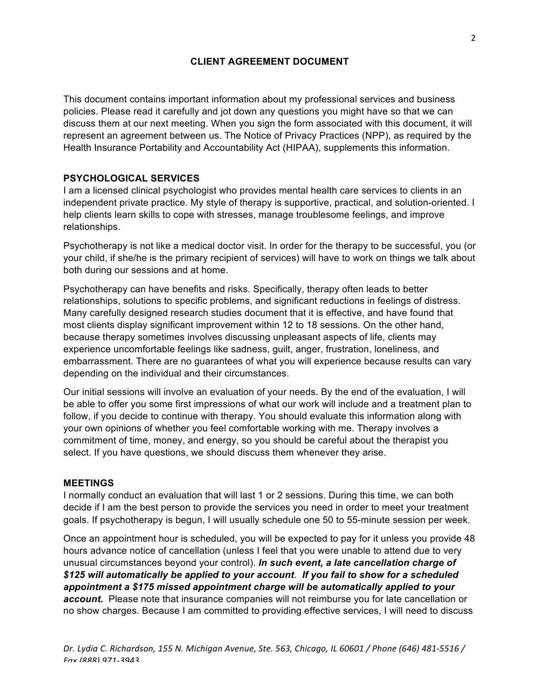# **CLIENT AGREEMENT DOCUMENT**

This document contains important information about my professional services and business policies. Please read it carefully and jot down any questions you might have so that we can discuss them at our next meeting. When you sign the form associated with this document, it will represent an agreement between us. The Notice of Privacy Practices (NPP), as required by the Health Insurance Portability and Accountability Act (HIPAA), supplements this information.

## **PSYCHOLOGICAL SERVICES**

I am a licensed clinical psychologist who provides mental health care services to clients in an independent private practice. My style of therapy is supportive, practical, and solution-oriented. I help clients learn skills to cope with stresses, manage troublesome feelings, and improve relationships.

Psychotherapy is not like a medical doctor visit. In order for the therapy to be successful, you (or your child, if she/he is the primary recipient of services) will have to work on things we talk about both during our sessions and at home.

Psychotherapy can have benefits and risks. Specifically, therapy often leads to better relationships, solutions to specific problems, and significant reductions in feelings of distress. Many carefully designed research studies document that it is effective, and have found that most clients display significant improvement within 12 to 18 sessions. On the other hand, because therapy sometimes involves discussing unpleasant aspects of life, clients may experience uncomfortable feelings like sadness, guilt, anger, frustration, loneliness, and embarrassment. There are no guarantees of what you will experience because results can vary depending on the individual and their circumstances.

Our initial sessions will involve an evaluation of your needs. By the end of the evaluation, I will be able to offer you some first impressions of what our work will include and a treatment plan to follow, if you decide to continue with therapy. You should evaluate this information along with your own opinions of whether you feel comfortable working with me. Therapy involves a commitment of time, money, and energy, so you should be careful about the therapist you select. If you have questions, we should discuss them whenever they arise.

#### **MEETINGS**

I normally conduct an evaluation that will last 1 or 2 sessions. During this time, we can both decide if I am the best person to provide the services you need in order to meet your treatment goals. If psychotherapy is begun, I will usually schedule one 50 to 55-minute session per week.

Once an appointment hour is scheduled, you will be expected to pay for it unless you provide 48 hours advance notice of cancellation (unless I feel that you were unable to attend due to very unusual circumstances beyond your control). *In such event, a late cancellation charge of \$125 will automatically be applied to your account*. *If you fail to show for a scheduled appointment a \$175 missed appointment charge will be automatically applied to your account.* Please note that insurance companies will not reimburse you for late cancellation or no show charges. Because I am committed to providing effective services, I will need to discuss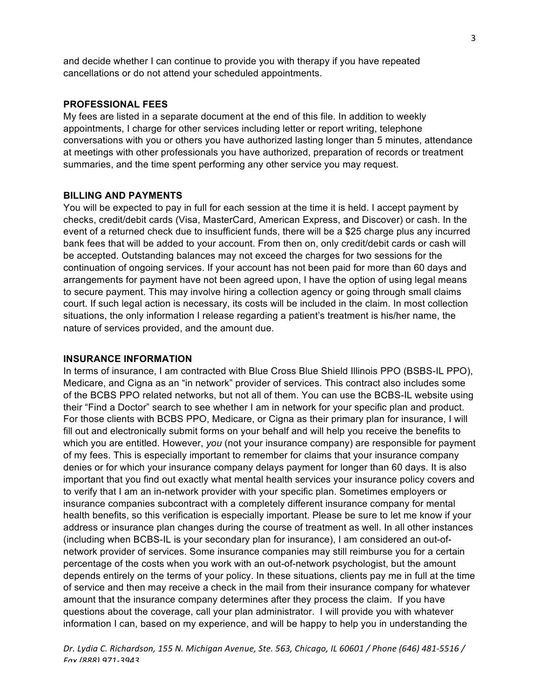and decide whether I can continue to provide you with therapy if you have repeated cancellations or do not attend your scheduled appointments.

### **PROFESSIONAL FEES**

My fees are listed in a separate document at the end of this file. In addition to weekly appointments, I charge for other services including letter or report writing, telephone conversations with you or others you have authorized lasting longer than 5 minutes, attendance at meetings with other professionals you have authorized, preparation of records or treatment summaries, and the time spent performing any other service you may request.

### **BILLING AND PAYMENTS**

You will be expected to pay in full for each session at the time it is held. I accept payment by checks, credit/debit cards (Visa, MasterCard, American Express, and Discover) or cash. In the event of a returned check due to insufficient funds, there will be a \$25 charge plus any incurred bank fees that will be added to your account. From then on, only credit/debit cards or cash will be accepted. Outstanding balances may not exceed the charges for two sessions for the continuation of ongoing services. If your account has not been paid for more than 60 days and arrangements for payment have not been agreed upon, I have the option of using legal means to secure payment. This may involve hiring a collection agency or going through small claims court. If such legal action is necessary, its costs will be included in the claim. In most collection situations, the only information I release regarding a patient's treatment is his/her name, the nature of services provided, and the amount due.

## **INSURANCE INFORMATION**

In terms of insurance, I am contracted with Blue Cross Blue Shield Illinois PPO (BSBS-IL PPO), Medicare, and Cigna as an "in network" provider of services. This contract also includes some of the BCBS PPO related networks, but not all of them. You can use the BCBS-IL website using their "Find a Doctor" search to see whether I am in network for your specific plan and product. For those clients with BCBS PPO, Medicare, or Cigna as their primary plan for insurance, I will fill out and electronically submit forms on your behalf and will help you receive the benefits to which you are entitled. However, *you* (not your insurance company) are responsible for payment of my fees. This is especially important to remember for claims that your insurance company denies or for which your insurance company delays payment for longer than 60 days. It is also important that you find out exactly what mental health services your insurance policy covers and to verify that I am an in-network provider with your specific plan. Sometimes employers or insurance companies subcontract with a completely different insurance company for mental health benefits, so this verification is especially important. Please be sure to let me know if your address or insurance plan changes during the course of treatment as well. In all other instances (including when BCBS-IL is your secondary plan for insurance), I am considered an out-ofnetwork provider of services. Some insurance companies may still reimburse you for a certain percentage of the costs when you work with an out-of-network psychologist, but the amount depends entirely on the terms of your policy. In these situations, clients pay me in full at the time of service and then may receive a check in the mail from their insurance company for whatever amount that the insurance company determines after they process the claim. If you have questions about the coverage, call your plan administrator. I will provide you with whatever information I can, based on my experience, and will be happy to help you in understanding the

*Dr. Lydia C. Richardson, 155 N. Michigan Avenue, Ste. 563, Chicago, IL 60601 / Phone (646) 481-5516 / Fax (888) 971-3943*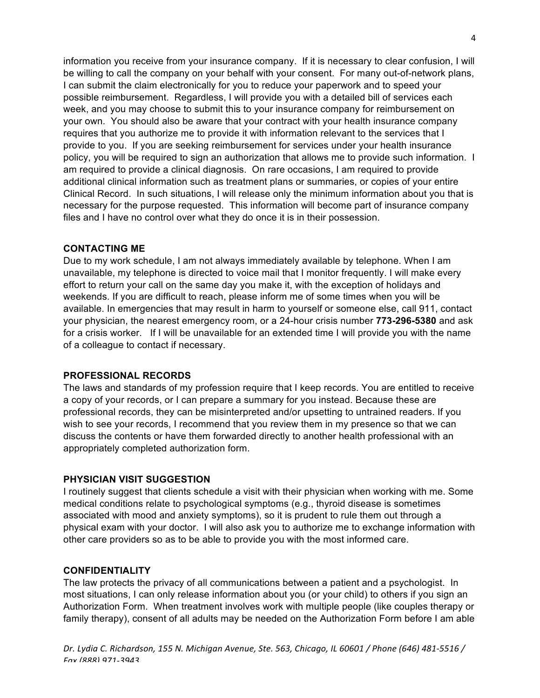information you receive from your insurance company. If it is necessary to clear confusion, I will be willing to call the company on your behalf with your consent. For many out-of-network plans, I can submit the claim electronically for you to reduce your paperwork and to speed your possible reimbursement. Regardless, I will provide you with a detailed bill of services each week, and you may choose to submit this to your insurance company for reimbursement on your own. You should also be aware that your contract with your health insurance company requires that you authorize me to provide it with information relevant to the services that I provide to you. If you are seeking reimbursement for services under your health insurance policy, you will be required to sign an authorization that allows me to provide such information. I am required to provide a clinical diagnosis. On rare occasions, I am required to provide additional clinical information such as treatment plans or summaries, or copies of your entire Clinical Record. In such situations, I will release only the minimum information about you that is necessary for the purpose requested. This information will become part of insurance company files and I have no control over what they do once it is in their possession.

## **CONTACTING ME**

Due to my work schedule, I am not always immediately available by telephone. When I am unavailable, my telephone is directed to voice mail that I monitor frequently. I will make every effort to return your call on the same day you make it, with the exception of holidays and weekends. If you are difficult to reach, please inform me of some times when you will be available. In emergencies that may result in harm to yourself or someone else, call 911, contact your physician, the nearest emergency room, or a 24-hour crisis number **773-296-5380** and ask for a crisis worker.If I will be unavailable for an extended time I will provide you with the name of a colleague to contact if necessary.

# **PROFESSIONAL RECORDS**

The laws and standards of my profession require that I keep records. You are entitled to receive a copy of your records, or I can prepare a summary for you instead. Because these are professional records, they can be misinterpreted and/or upsetting to untrained readers. If you wish to see your records, I recommend that you review them in my presence so that we can discuss the contents or have them forwarded directly to another health professional with an appropriately completed authorization form.

## **PHYSICIAN VISIT SUGGESTION**

I routinely suggest that clients schedule a visit with their physician when working with me. Some medical conditions relate to psychological symptoms (e.g., thyroid disease is sometimes associated with mood and anxiety symptoms), so it is prudent to rule them out through a physical exam with your doctor. I will also ask you to authorize me to exchange information with other care providers so as to be able to provide you with the most informed care.

## **CONFIDENTIALITY**

The law protects the privacy of all communications between a patient and a psychologist. In most situations, I can only release information about you (or your child) to others if you sign an Authorization Form. When treatment involves work with multiple people (like couples therapy or family therapy), consent of all adults may be needed on the Authorization Form before I am able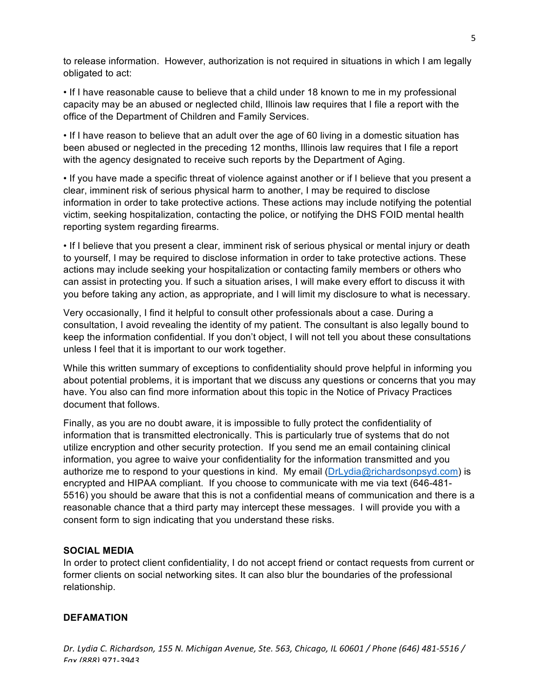to release information. However, authorization is not required in situations in which I am legally obligated to act:

• If I have reasonable cause to believe that a child under 18 known to me in my professional capacity may be an abused or neglected child, Illinois law requires that I file a report with the office of the Department of Children and Family Services.

• If I have reason to believe that an adult over the age of 60 living in a domestic situation has been abused or neglected in the preceding 12 months, Illinois law requires that I file a report with the agency designated to receive such reports by the Department of Aging.

• If you have made a specific threat of violence against another or if I believe that you present a clear, imminent risk of serious physical harm to another, I may be required to disclose information in order to take protective actions. These actions may include notifying the potential victim, seeking hospitalization, contacting the police, or notifying the DHS FOID mental health reporting system regarding firearms.

• If I believe that you present a clear, imminent risk of serious physical or mental injury or death to yourself, I may be required to disclose information in order to take protective actions. These actions may include seeking your hospitalization or contacting family members or others who can assist in protecting you. If such a situation arises, I will make every effort to discuss it with you before taking any action, as appropriate, and I will limit my disclosure to what is necessary.

Very occasionally, I find it helpful to consult other professionals about a case. During a consultation, I avoid revealing the identity of my patient. The consultant is also legally bound to keep the information confidential. If you don't object, I will not tell you about these consultations unless I feel that it is important to our work together.

While this written summary of exceptions to confidentiality should prove helpful in informing you about potential problems, it is important that we discuss any questions or concerns that you may have. You also can find more information about this topic in the Notice of Privacy Practices document that follows.

Finally, as you are no doubt aware, it is impossible to fully protect the confidentiality of information that is transmitted electronically. This is particularly true of systems that do not utilize encryption and other security protection. If you send me an email containing clinical information, you agree to waive your confidentiality for the information transmitted and you authorize me to respond to your questions in kind. My email (DrLydia@richardsonpsyd.com) is encrypted and HIPAA compliant. If you choose to communicate with me via text (646-481- 5516) you should be aware that this is not a confidential means of communication and there is a reasonable chance that a third party may intercept these messages. I will provide you with a consent form to sign indicating that you understand these risks.

# **SOCIAL MEDIA**

In order to protect client confidentiality, I do not accept friend or contact requests from current or former clients on social networking sites. It can also blur the boundaries of the professional relationship.

## **DEFAMATION**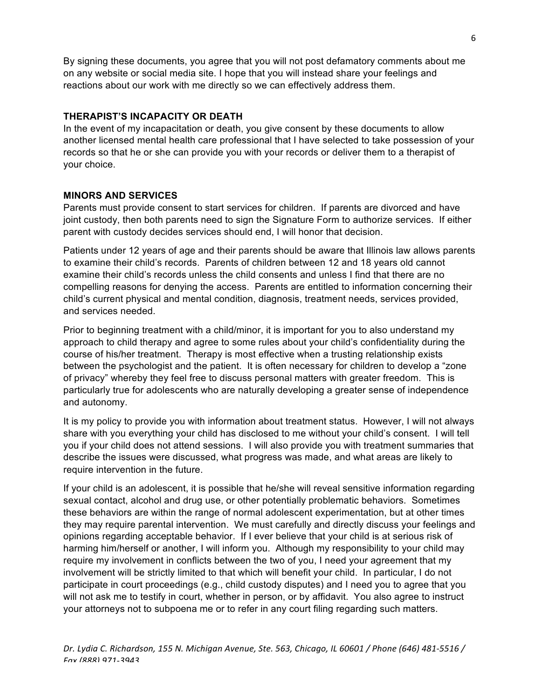By signing these documents, you agree that you will not post defamatory comments about me on any website or social media site. I hope that you will instead share your feelings and reactions about our work with me directly so we can effectively address them.

# **THERAPIST'S INCAPACITY OR DEATH**

In the event of my incapacitation or death, you give consent by these documents to allow another licensed mental health care professional that I have selected to take possession of your records so that he or she can provide you with your records or deliver them to a therapist of your choice.

# **MINORS AND SERVICES**

Parents must provide consent to start services for children. If parents are divorced and have joint custody, then both parents need to sign the Signature Form to authorize services. If either parent with custody decides services should end, I will honor that decision.

Patients under 12 years of age and their parents should be aware that Illinois law allows parents to examine their child's records. Parents of children between 12 and 18 years old cannot examine their child's records unless the child consents and unless I find that there are no compelling reasons for denying the access. Parents are entitled to information concerning their child's current physical and mental condition, diagnosis, treatment needs, services provided, and services needed.

Prior to beginning treatment with a child/minor, it is important for you to also understand my approach to child therapy and agree to some rules about your child's confidentiality during the course of his/her treatment. Therapy is most effective when a trusting relationship exists between the psychologist and the patient. It is often necessary for children to develop a "zone of privacy" whereby they feel free to discuss personal matters with greater freedom. This is particularly true for adolescents who are naturally developing a greater sense of independence and autonomy.

It is my policy to provide you with information about treatment status. However, I will not always share with you everything your child has disclosed to me without your child's consent. I will tell you if your child does not attend sessions. I will also provide you with treatment summaries that describe the issues were discussed, what progress was made, and what areas are likely to require intervention in the future.

If your child is an adolescent, it is possible that he/she will reveal sensitive information regarding sexual contact, alcohol and drug use, or other potentially problematic behaviors. Sometimes these behaviors are within the range of normal adolescent experimentation, but at other times they may require parental intervention. We must carefully and directly discuss your feelings and opinions regarding acceptable behavior. If I ever believe that your child is at serious risk of harming him/herself or another, I will inform you. Although my responsibility to your child may require my involvement in conflicts between the two of you, I need your agreement that my involvement will be strictly limited to that which will benefit your child. In particular, I do not participate in court proceedings (e.g., child custody disputes) and I need you to agree that you will not ask me to testify in court, whether in person, or by affidavit. You also agree to instruct your attorneys not to subpoena me or to refer in any court filing regarding such matters.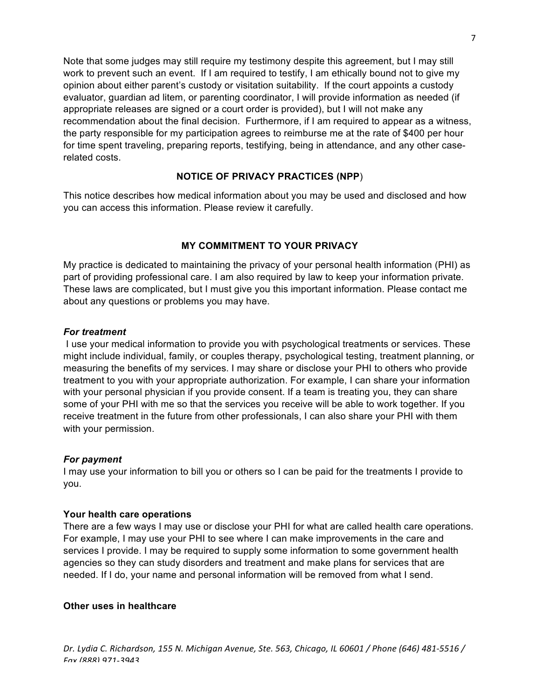Note that some judges may still require my testimony despite this agreement, but I may still work to prevent such an event. If I am required to testify, I am ethically bound not to give my opinion about either parent's custody or visitation suitability. If the court appoints a custody evaluator, guardian ad litem, or parenting coordinator, I will provide information as needed (if appropriate releases are signed or a court order is provided), but I will not make any recommendation about the final decision. Furthermore, if I am required to appear as a witness, the party responsible for my participation agrees to reimburse me at the rate of \$400 per hour for time spent traveling, preparing reports, testifying, being in attendance, and any other caserelated costs.

# **NOTICE OF PRIVACY PRACTICES (NPP**)

This notice describes how medical information about you may be used and disclosed and how you can access this information. Please review it carefully.

## **MY COMMITMENT TO YOUR PRIVACY**

My practice is dedicated to maintaining the privacy of your personal health information (PHI) as part of providing professional care. I am also required by law to keep your information private. These laws are complicated, but I must give you this important information. Please contact me about any questions or problems you may have.

### *For treatment*

I use your medical information to provide you with psychological treatments or services. These might include individual, family, or couples therapy, psychological testing, treatment planning, or measuring the benefits of my services. I may share or disclose your PHI to others who provide treatment to you with your appropriate authorization. For example, I can share your information with your personal physician if you provide consent. If a team is treating you, they can share some of your PHI with me so that the services you receive will be able to work together. If you receive treatment in the future from other professionals, I can also share your PHI with them with your permission.

#### *For payment*

I may use your information to bill you or others so I can be paid for the treatments I provide to you.

#### **Your health care operations**

There are a few ways I may use or disclose your PHI for what are called health care operations. For example, I may use your PHI to see where I can make improvements in the care and services I provide. I may be required to supply some information to some government health agencies so they can study disorders and treatment and make plans for services that are needed. If I do, your name and personal information will be removed from what I send.

### **Other uses in healthcare**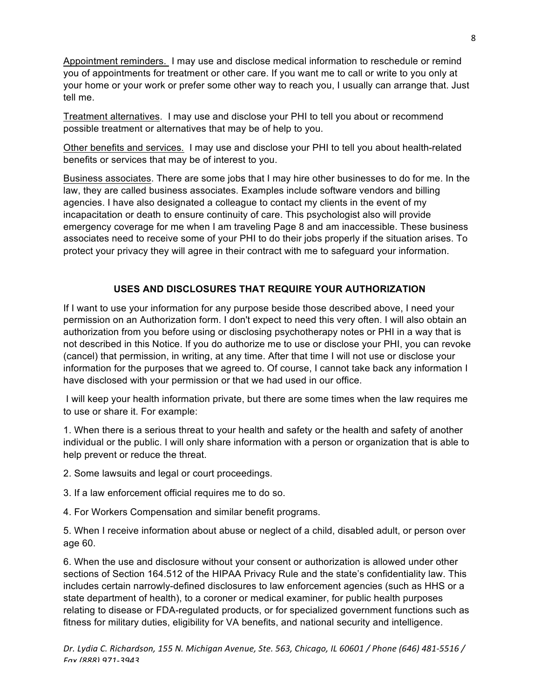Appointment reminders. I may use and disclose medical information to reschedule or remind you of appointments for treatment or other care. If you want me to call or write to you only at your home or your work or prefer some other way to reach you, I usually can arrange that. Just tell me.

Treatment alternatives. I may use and disclose your PHI to tell you about or recommend possible treatment or alternatives that may be of help to you.

Other benefits and services*.* I may use and disclose your PHI to tell you about health-related benefits or services that may be of interest to you.

Business associates. There are some jobs that I may hire other businesses to do for me. In the law, they are called business associates. Examples include software vendors and billing agencies. I have also designated a colleague to contact my clients in the event of my incapacitation or death to ensure continuity of care. This psychologist also will provide emergency coverage for me when I am traveling Page 8 and am inaccessible. These business associates need to receive some of your PHI to do their jobs properly if the situation arises. To protect your privacy they will agree in their contract with me to safeguard your information.

# **USES AND DISCLOSURES THAT REQUIRE YOUR AUTHORIZATION**

If I want to use your information for any purpose beside those described above, I need your permission on an Authorization form. I don't expect to need this very often. I will also obtain an authorization from you before using or disclosing psychotherapy notes or PHI in a way that is not described in this Notice. If you do authorize me to use or disclose your PHI, you can revoke (cancel) that permission, in writing, at any time. After that time I will not use or disclose your information for the purposes that we agreed to. Of course, I cannot take back any information I have disclosed with your permission or that we had used in our office.

I will keep your health information private, but there are some times when the law requires me to use or share it. For example:

1. When there is a serious threat to your health and safety or the health and safety of another individual or the public. I will only share information with a person or organization that is able to help prevent or reduce the threat.

2. Some lawsuits and legal or court proceedings.

3. If a law enforcement official requires me to do so.

4. For Workers Compensation and similar benefit programs.

5. When I receive information about abuse or neglect of a child, disabled adult, or person over age 60.

6. When the use and disclosure without your consent or authorization is allowed under other sections of Section 164.512 of the HIPAA Privacy Rule and the state's confidentiality law. This includes certain narrowly-defined disclosures to law enforcement agencies (such as HHS or a state department of health), to a coroner or medical examiner, for public health purposes relating to disease or FDA-regulated products, or for specialized government functions such as fitness for military duties, eligibility for VA benefits, and national security and intelligence.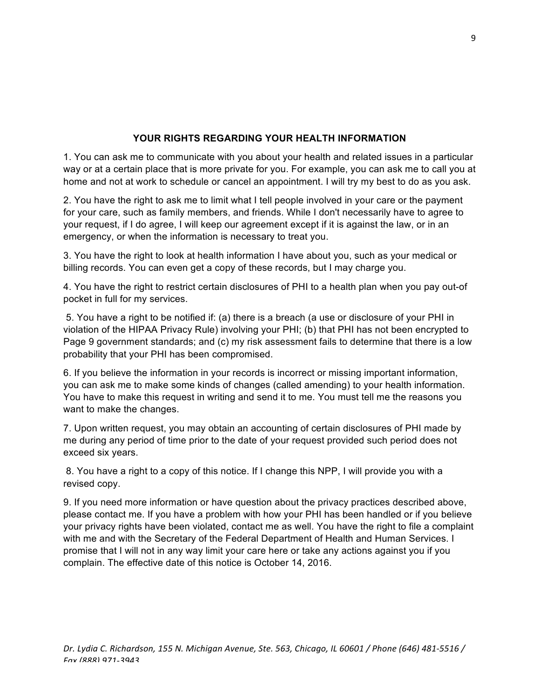# **YOUR RIGHTS REGARDING YOUR HEALTH INFORMATION**

1. You can ask me to communicate with you about your health and related issues in a particular way or at a certain place that is more private for you. For example, you can ask me to call you at home and not at work to schedule or cancel an appointment. I will try my best to do as you ask.

2. You have the right to ask me to limit what I tell people involved in your care or the payment for your care, such as family members, and friends. While I don't necessarily have to agree to your request, if I do agree, I will keep our agreement except if it is against the law, or in an emergency, or when the information is necessary to treat you.

3. You have the right to look at health information I have about you, such as your medical or billing records. You can even get a copy of these records, but I may charge you.

4. You have the right to restrict certain disclosures of PHI to a health plan when you pay out-of pocket in full for my services.

5. You have a right to be notified if: (a) there is a breach (a use or disclosure of your PHI in violation of the HIPAA Privacy Rule) involving your PHI; (b) that PHI has not been encrypted to Page 9 government standards; and (c) my risk assessment fails to determine that there is a low probability that your PHI has been compromised.

6. If you believe the information in your records is incorrect or missing important information, you can ask me to make some kinds of changes (called amending) to your health information. You have to make this request in writing and send it to me. You must tell me the reasons you want to make the changes.

7. Upon written request, you may obtain an accounting of certain disclosures of PHI made by me during any period of time prior to the date of your request provided such period does not exceed six years.

8. You have a right to a copy of this notice. If I change this NPP, I will provide you with a revised copy.

9. If you need more information or have question about the privacy practices described above, please contact me. If you have a problem with how your PHI has been handled or if you believe your privacy rights have been violated, contact me as well. You have the right to file a complaint with me and with the Secretary of the Federal Department of Health and Human Services. I promise that I will not in any way limit your care here or take any actions against you if you complain. The effective date of this notice is October 14, 2016.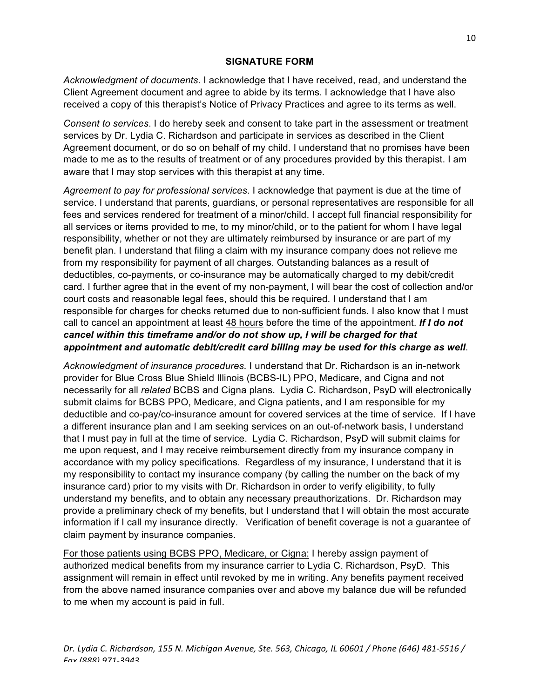# **SIGNATURE FORM**

*Acknowledgment of documents.* I acknowledge that I have received, read, and understand the Client Agreement document and agree to abide by its terms. I acknowledge that I have also received a copy of this therapist's Notice of Privacy Practices and agree to its terms as well.

*Consent to services*. I do hereby seek and consent to take part in the assessment or treatment services by Dr. Lydia C. Richardson and participate in services as described in the Client Agreement document, or do so on behalf of my child. I understand that no promises have been made to me as to the results of treatment or of any procedures provided by this therapist. I am aware that I may stop services with this therapist at any time.

*Agreement to pay for professional services*. I acknowledge that payment is due at the time of service. I understand that parents, guardians, or personal representatives are responsible for all fees and services rendered for treatment of a minor/child. I accept full financial responsibility for all services or items provided to me, to my minor/child, or to the patient for whom I have legal responsibility, whether or not they are ultimately reimbursed by insurance or are part of my benefit plan. I understand that filing a claim with my insurance company does not relieve me from my responsibility for payment of all charges. Outstanding balances as a result of deductibles, co-payments, or co-insurance may be automatically charged to my debit/credit card. I further agree that in the event of my non-payment, I will bear the cost of collection and/or court costs and reasonable legal fees, should this be required. I understand that I am responsible for charges for checks returned due to non-sufficient funds. I also know that I must call to cancel an appointment at least 48 hours before the time of the appointment. *If I do not cancel within this timeframe and/or do not show up, I will be charged for that appointment and automatic debit/credit card billing may be used for this charge as well*.

*Acknowledgment of insurance procedures.* I understand that Dr. Richardson is an in-network provider for Blue Cross Blue Shield Illinois (BCBS-IL) PPO, Medicare, and Cigna and not necessarily for all *related* BCBS and Cigna plans. Lydia C. Richardson, PsyD will electronically submit claims for BCBS PPO, Medicare, and Cigna patients, and I am responsible for my deductible and co-pay/co-insurance amount for covered services at the time of service. If I have a different insurance plan and I am seeking services on an out-of-network basis, I understand that I must pay in full at the time of service. Lydia C. Richardson, PsyD will submit claims for me upon request, and I may receive reimbursement directly from my insurance company in accordance with my policy specifications. Regardless of my insurance, I understand that it is my responsibility to contact my insurance company (by calling the number on the back of my insurance card) prior to my visits with Dr. Richardson in order to verify eligibility, to fully understand my benefits, and to obtain any necessary preauthorizations. Dr. Richardson may provide a preliminary check of my benefits, but I understand that I will obtain the most accurate information if I call my insurance directly. Verification of benefit coverage is not a guarantee of claim payment by insurance companies.

For those patients using BCBS PPO, Medicare, or Cigna: I hereby assign payment of authorized medical benefits from my insurance carrier to Lydia C. Richardson, PsyD. This assignment will remain in effect until revoked by me in writing. Any benefits payment received from the above named insurance companies over and above my balance due will be refunded to me when my account is paid in full.